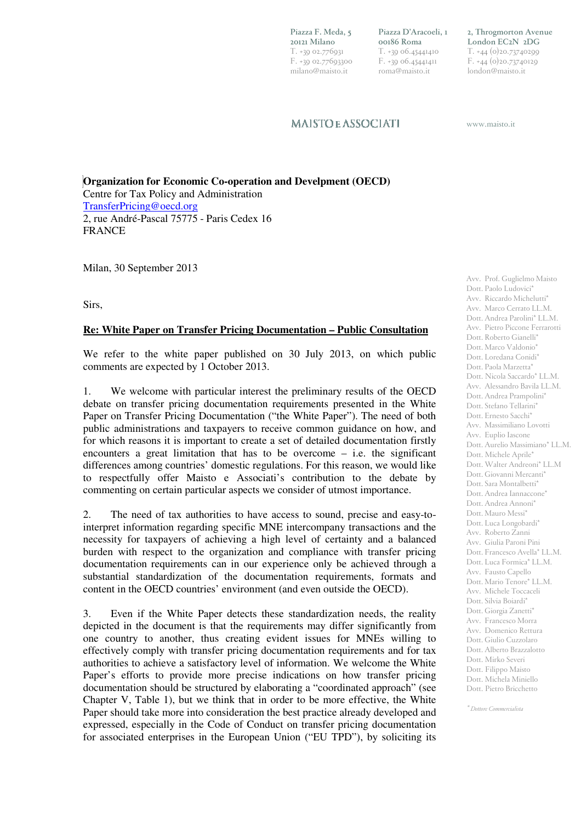**Piazza F. Meda, 5 20121 Milano**  T. +39 02.776931 F. +39 02.77693300 milano@maisto.it

**Piazza D'Aracoeli, 1 00186 Roma**  T. +39 06.45441410 F. +39 06.45441411 roma@maisto.it

**2, Throgmorton Avenue London EC2N 2DG**  T. +44 (0)20.73740299 F. +44 (0)20.73740129 london@maisto.it

**MAISTOE ASSOCIATI** 

www.maisto.it

**Organization for Economic Co-operation and Develpment (OECD)**  Centre for Tax Policy and Administration TransferPricing@oecd.org 2, rue André-Pascal 75775 - Paris Cedex 16 FRANCE

Milan, 30 September 2013

Sirs,

## **Re: White Paper on Transfer Pricing Documentation – Public Consultation**

We refer to the white paper published on 30 July 2013, on which public comments are expected by 1 October 2013.

1. We welcome with particular interest the preliminary results of the OECD debate on transfer pricing documentation requirements presented in the White Paper on Transfer Pricing Documentation ("the White Paper"). The need of both public administrations and taxpayers to receive common guidance on how, and for which reasons it is important to create a set of detailed documentation firstly encounters a great limitation that has to be overcome – i.e. the significant differences among countries' domestic regulations. For this reason, we would like to respectfully offer Maisto e Associati's contribution to the debate by commenting on certain particular aspects we consider of utmost importance.

2. The need of tax authorities to have access to sound, precise and easy-tointerpret information regarding specific MNE intercompany transactions and the necessity for taxpayers of achieving a high level of certainty and a balanced burden with respect to the organization and compliance with transfer pricing documentation requirements can in our experience only be achieved through a substantial standardization of the documentation requirements, formats and content in the OECD countries' environment (and even outside the OECD).

3. Even if the White Paper detects these standardization needs, the reality depicted in the document is that the requirements may differ significantly from one country to another, thus creating evident issues for MNEs willing to effectively comply with transfer pricing documentation requirements and for tax authorities to achieve a satisfactory level of information. We welcome the White Paper's efforts to provide more precise indications on how transfer pricing documentation should be structured by elaborating a "coordinated approach" (see Chapter V, Table 1), but we think that in order to be more effective, the White Paper should take more into consideration the best practice already developed and expressed, especially in the Code of Conduct on transfer pricing documentation for associated enterprises in the European Union ("EU TPD"), by soliciting its

Avv. Prof. Guglielmo Maisto Dott. Paolo Ludovici\* Avv. Riccardo Michelutti\* Avv. Marco Cerrato LL.M. Dott. Andrea Parolini\* LL.M. Avv. Pietro Piccone Ferrarotti Dott. Roberto Gianelli\* Dott. Marco Valdonio\* Dott. Loredana Conidi\* Dott. Paola Marzetta\* Dott. Nicola Saccardo\* LL.M. Avv. Alessandro Bavila LL.M. Dott. Andrea Prampolini\* Dott. Stefano Tellarini\* Dott. Ernesto Sacchi\* Avv. Massimiliano Lovotti Avv. Euplio Iascone Dott. Aurelio Massimiano\* LL.M. Dott. Michele Aprile\* Dott. Walter Andreoni\* LL.M Dott. Giovanni Mercanti\* Dott. Sara Montalbetti\* Dott. Andrea Iannaccone\* Dott. Andrea Annoni\* Dott. Mauro Messi\* Dott. Luca Longobardi\* Avv. Roberto Zanni Avv. Giulia Paroni Pini Dott. Francesco Avella\* LL.M. Dott. Luca Formica\* LL.M. Avv. Fausto Capello Dott. Mario Tenore\* LL.M. Avv. Michele Toccaceli Dott. Silvia Boiardi\* Dott. Giorgia Zanetti\* Avv. Francesco Morra Avv. Domenico Rettura Dott. Giulio Cuzzolaro Dott. Alberto Brazzalotto Dott. Mirko Severi Dott. Filippo Maisto Dott. Michela Miniello Dott. Pietro Bricchetto

*\* Dottore Commercialista*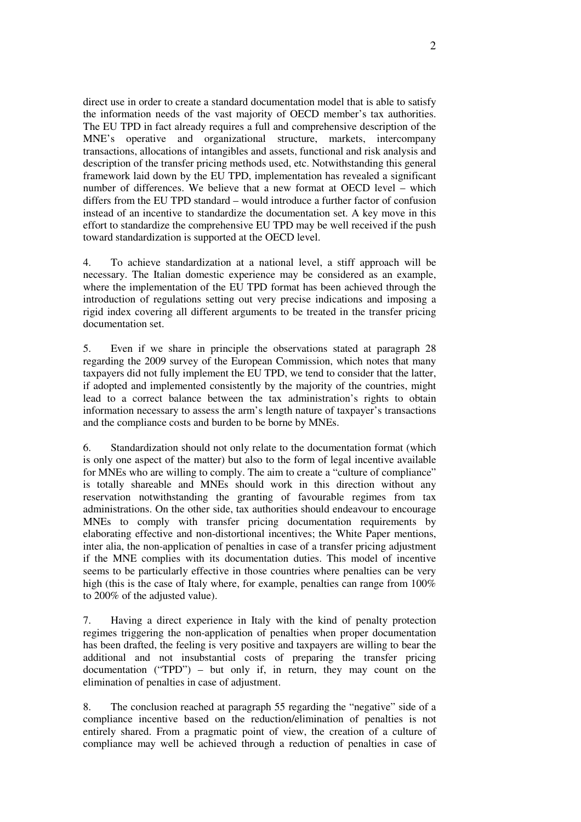direct use in order to create a standard documentation model that is able to satisfy the information needs of the vast majority of OECD member's tax authorities. The EU TPD in fact already requires a full and comprehensive description of the MNE's operative and organizational structure, markets, intercompany transactions, allocations of intangibles and assets, functional and risk analysis and description of the transfer pricing methods used, etc. Notwithstanding this general framework laid down by the EU TPD, implementation has revealed a significant number of differences. We believe that a new format at OECD level – which differs from the EU TPD standard – would introduce a further factor of confusion instead of an incentive to standardize the documentation set. A key move in this effort to standardize the comprehensive EU TPD may be well received if the push toward standardization is supported at the OECD level.

4. To achieve standardization at a national level, a stiff approach will be necessary. The Italian domestic experience may be considered as an example, where the implementation of the EU TPD format has been achieved through the introduction of regulations setting out very precise indications and imposing a rigid index covering all different arguments to be treated in the transfer pricing documentation set.

5. Even if we share in principle the observations stated at paragraph 28 regarding the 2009 survey of the European Commission, which notes that many taxpayers did not fully implement the EU TPD, we tend to consider that the latter, if adopted and implemented consistently by the majority of the countries, might lead to a correct balance between the tax administration's rights to obtain information necessary to assess the arm's length nature of taxpayer's transactions and the compliance costs and burden to be borne by MNEs.

6. Standardization should not only relate to the documentation format (which is only one aspect of the matter) but also to the form of legal incentive available for MNEs who are willing to comply. The aim to create a "culture of compliance" is totally shareable and MNEs should work in this direction without any reservation notwithstanding the granting of favourable regimes from tax administrations. On the other side, tax authorities should endeavour to encourage MNEs to comply with transfer pricing documentation requirements by elaborating effective and non-distortional incentives; the White Paper mentions, inter alia, the non-application of penalties in case of a transfer pricing adjustment if the MNE complies with its documentation duties. This model of incentive seems to be particularly effective in those countries where penalties can be very high (this is the case of Italy where, for example, penalties can range from 100% to 200% of the adjusted value).

7. Having a direct experience in Italy with the kind of penalty protection regimes triggering the non-application of penalties when proper documentation has been drafted, the feeling is very positive and taxpayers are willing to bear the additional and not insubstantial costs of preparing the transfer pricing documentation ("TPD") – but only if, in return, they may count on the elimination of penalties in case of adjustment.

8. The conclusion reached at paragraph 55 regarding the "negative" side of a compliance incentive based on the reduction/elimination of penalties is not entirely shared. From a pragmatic point of view, the creation of a culture of compliance may well be achieved through a reduction of penalties in case of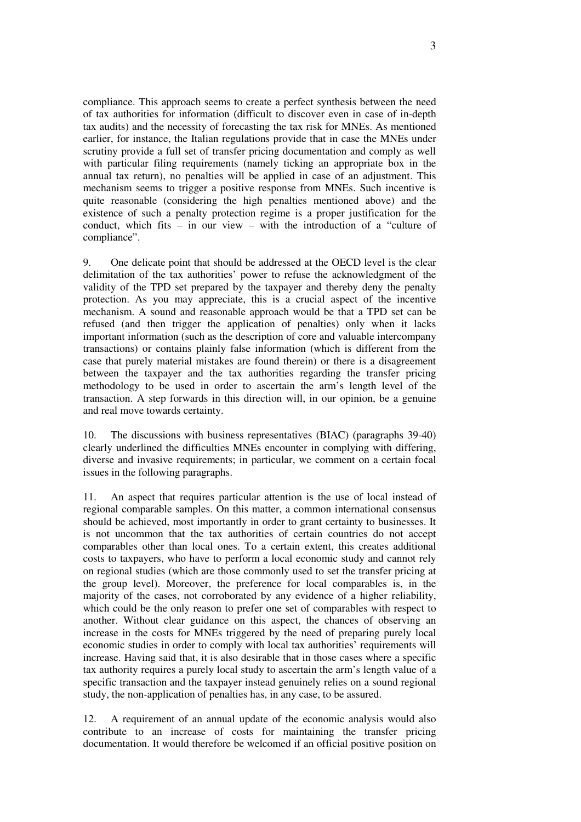compliance. This approach seems to create a perfect synthesis between the need of tax authorities for information (difficult to discover even in case of in-depth tax audits) and the necessity of forecasting the tax risk for MNEs. As mentioned earlier, for instance, the Italian regulations provide that in case the MNEs under scrutiny provide a full set of transfer pricing documentation and comply as well with particular filing requirements (namely ticking an appropriate box in the annual tax return), no penalties will be applied in case of an adjustment. This mechanism seems to trigger a positive response from MNEs. Such incentive is quite reasonable (considering the high penalties mentioned above) and the existence of such a penalty protection regime is a proper justification for the conduct, which fits – in our view – with the introduction of a "culture of compliance".

9. One delicate point that should be addressed at the OECD level is the clear delimitation of the tax authorities' power to refuse the acknowledgment of the validity of the TPD set prepared by the taxpayer and thereby deny the penalty protection. As you may appreciate, this is a crucial aspect of the incentive mechanism. A sound and reasonable approach would be that a TPD set can be refused (and then trigger the application of penalties) only when it lacks important information (such as the description of core and valuable intercompany transactions) or contains plainly false information (which is different from the case that purely material mistakes are found therein) or there is a disagreement between the taxpayer and the tax authorities regarding the transfer pricing methodology to be used in order to ascertain the arm's length level of the transaction. A step forwards in this direction will, in our opinion, be a genuine and real move towards certainty.

10. The discussions with business representatives (BIAC) (paragraphs 39-40) clearly underlined the difficulties MNEs encounter in complying with differing, diverse and invasive requirements; in particular, we comment on a certain focal issues in the following paragraphs.

11. An aspect that requires particular attention is the use of local instead of regional comparable samples. On this matter, a common international consensus should be achieved, most importantly in order to grant certainty to businesses. It is not uncommon that the tax authorities of certain countries do not accept comparables other than local ones. To a certain extent, this creates additional costs to taxpayers, who have to perform a local economic study and cannot rely on regional studies (which are those commonly used to set the transfer pricing at the group level). Moreover, the preference for local comparables is, in the majority of the cases, not corroborated by any evidence of a higher reliability, which could be the only reason to prefer one set of comparables with respect to another. Without clear guidance on this aspect, the chances of observing an increase in the costs for MNEs triggered by the need of preparing purely local economic studies in order to comply with local tax authorities' requirements will increase. Having said that, it is also desirable that in those cases where a specific tax authority requires a purely local study to ascertain the arm's length value of a specific transaction and the taxpayer instead genuinely relies on a sound regional study, the non-application of penalties has, in any case, to be assured.

12. A requirement of an annual update of the economic analysis would also contribute to an increase of costs for maintaining the transfer pricing documentation. It would therefore be welcomed if an official positive position on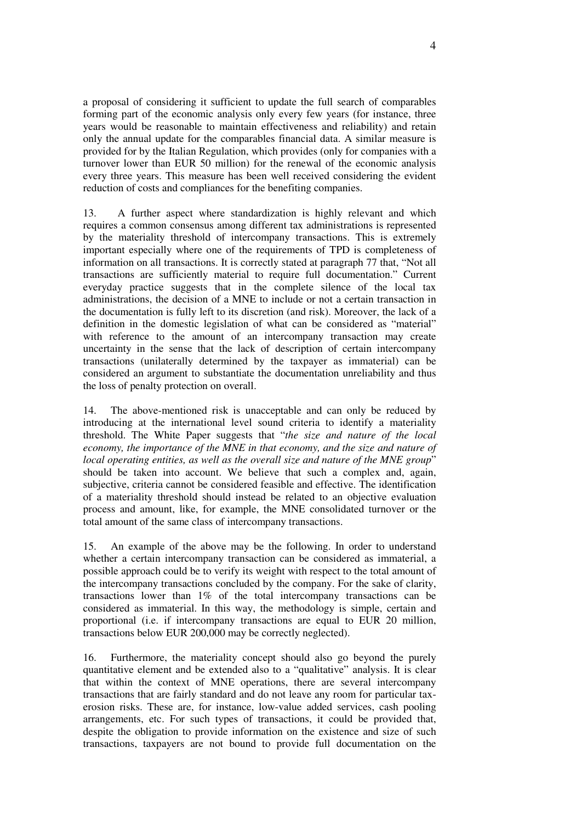a proposal of considering it sufficient to update the full search of comparables forming part of the economic analysis only every few years (for instance, three years would be reasonable to maintain effectiveness and reliability) and retain only the annual update for the comparables financial data. A similar measure is provided for by the Italian Regulation, which provides (only for companies with a turnover lower than EUR 50 million) for the renewal of the economic analysis every three years. This measure has been well received considering the evident reduction of costs and compliances for the benefiting companies.

13. A further aspect where standardization is highly relevant and which requires a common consensus among different tax administrations is represented by the materiality threshold of intercompany transactions. This is extremely important especially where one of the requirements of TPD is completeness of information on all transactions. It is correctly stated at paragraph 77 that, "Not all transactions are sufficiently material to require full documentation." Current everyday practice suggests that in the complete silence of the local tax administrations, the decision of a MNE to include or not a certain transaction in the documentation is fully left to its discretion (and risk). Moreover, the lack of a definition in the domestic legislation of what can be considered as "material" with reference to the amount of an intercompany transaction may create uncertainty in the sense that the lack of description of certain intercompany transactions (unilaterally determined by the taxpayer as immaterial) can be considered an argument to substantiate the documentation unreliability and thus the loss of penalty protection on overall.

14. The above-mentioned risk is unacceptable and can only be reduced by introducing at the international level sound criteria to identify a materiality threshold. The White Paper suggests that "*the size and nature of the local economy, the importance of the MNE in that economy, and the size and nature of local operating entities, as well as the overall size and nature of the MNE group*" should be taken into account. We believe that such a complex and, again, subjective, criteria cannot be considered feasible and effective. The identification of a materiality threshold should instead be related to an objective evaluation process and amount, like, for example, the MNE consolidated turnover or the total amount of the same class of intercompany transactions.

15. An example of the above may be the following. In order to understand whether a certain intercompany transaction can be considered as immaterial, a possible approach could be to verify its weight with respect to the total amount of the intercompany transactions concluded by the company. For the sake of clarity, transactions lower than 1% of the total intercompany transactions can be considered as immaterial. In this way, the methodology is simple, certain and proportional (i.e. if intercompany transactions are equal to EUR 20 million, transactions below EUR 200,000 may be correctly neglected).

16. Furthermore, the materiality concept should also go beyond the purely quantitative element and be extended also to a "qualitative" analysis. It is clear that within the context of MNE operations, there are several intercompany transactions that are fairly standard and do not leave any room for particular taxerosion risks. These are, for instance, low-value added services, cash pooling arrangements, etc. For such types of transactions, it could be provided that, despite the obligation to provide information on the existence and size of such transactions, taxpayers are not bound to provide full documentation on the